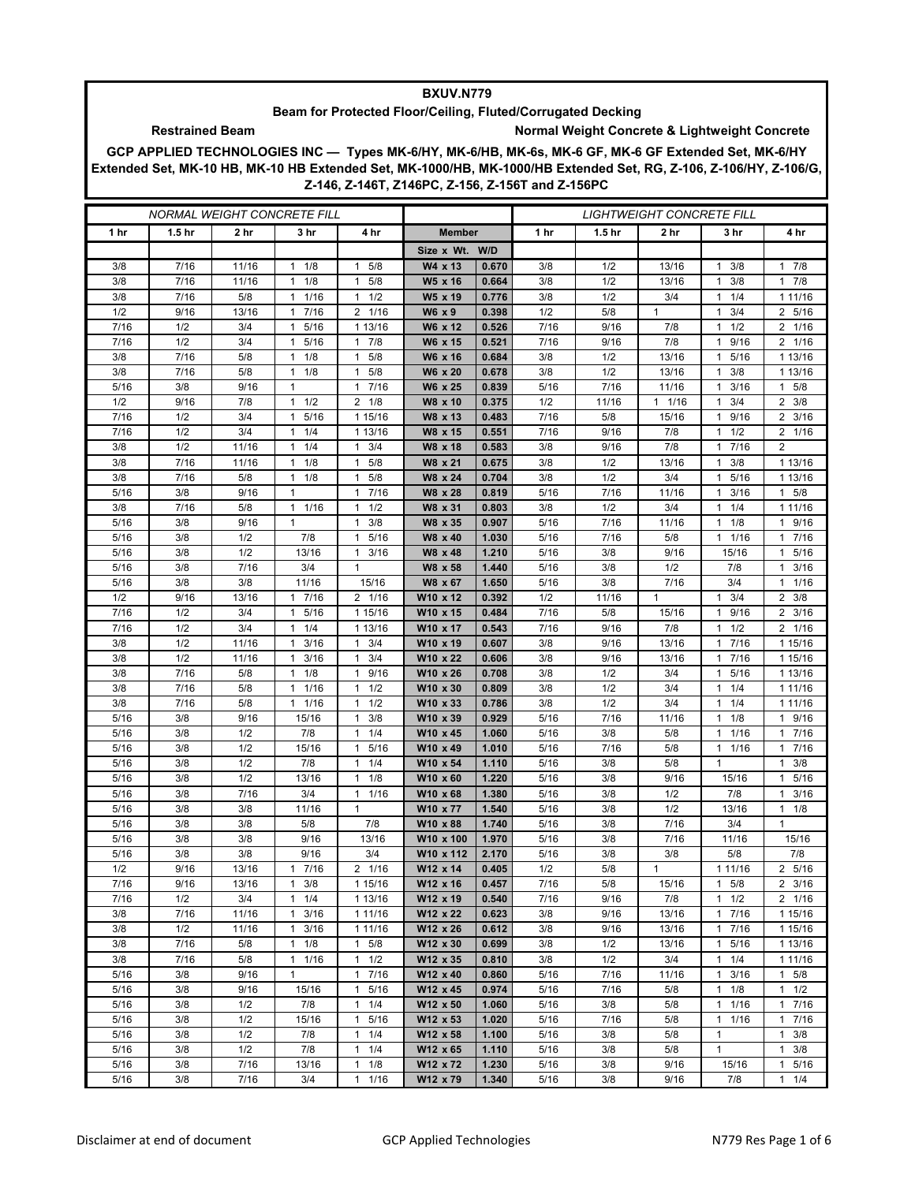## **BXUV.N779**

## **Beam for Protected Floor/Ceiling, Fluted/Corrugated Decking**

**Restrained Beam Normal Weight Concrete & Lightweight Concrete** 

**GCP APPLIED TECHNOLOGIES INC — Types MK-6/HY, MK-6/HB, MK-6s, MK-6 GF, MK-6 GF Extended Set, MK-6/HY Extended Set, MK-10 HB, MK-10 HB Extended Set, MK-1000/HB, MK-1000/HB Extended Set, RG, Z-106, Z-106/HY, Z-106/G, Z-146, Z-146T, Z146PC, Z-156, Z-156T and Z-156PC**

| <i>NORMAL WEIGHT CONCRETE FILL</i> |                   |                 |                                            |                                      |                      |                | <i>LIGHTWEIGHT CONCRETE FILL</i> |                   |                 |                       |                           |
|------------------------------------|-------------------|-----------------|--------------------------------------------|--------------------------------------|----------------------|----------------|----------------------------------|-------------------|-----------------|-----------------------|---------------------------|
| 1 <sub>hr</sub>                    | 1.5 <sub>hr</sub> | 2 <sub>hr</sub> | 3 hr                                       | 4 hr                                 | <b>Member</b>        |                | 1 hr                             | 1.5 <sub>hr</sub> | 2 <sub>hr</sub> | 3 hr                  | 4 hr                      |
|                                    |                   |                 |                                            |                                      | Size x Wt. W/D       |                |                                  |                   |                 |                       |                           |
| 3/8                                | 7/16              | 11/16           | 1/8<br>1                                   | 5/8<br>$\mathbf{1}$                  | W4 x 13              | 0.670          | 3/8                              | 1/2               | 13/16           | 3/8<br>1              | 17/8                      |
| 3/8                                | 7/16              | 11/16           | 1/8<br>$\mathbf{1}$                        | 5/8<br>$\mathbf{1}$                  | W5 x 16              | 0.664          | 3/8                              | 1/2               | 13/16           | 3/8<br>1              | 17/8                      |
| 3/8                                | 7/16              | 5/8             | 1 1/16                                     | 1/2<br>1                             | W5 x 19              | 0.776          | 3/8                              | 1/2               | 3/4             | 1/4<br>1              | 1 11/16                   |
| 1/2                                | 9/16              | 13/16           | 7/16<br>1                                  | 2 1/16                               | W6 x 9               | 0.398          | 1/2                              | 5/8               | 1               | 3/4<br>1              | 2 5/16                    |
| 7/16                               | 1/2               | 3/4             | 5/16<br>1                                  | 1 13/16                              | W6 x 12              | 0.526          | 7/16                             | 9/16              | 7/8             | 1/2                   | 2 1/16                    |
| 7/16                               | 1/2               | 3/4             | 5/16<br>1                                  | 7/8<br>1                             | W6 x 15              | 0.521          | 7/16                             | 9/16              | 7/8             | 9/16<br>1             | 2 1/16                    |
| 3/8                                | 7/16              | 5/8             | $1 \t1/8$                                  | 5/8<br>1                             | W6 x 16              | 0.684          | 3/8                              | 1/2               | 13/16           | 1 5/16                | 1 13/16                   |
| 3/8                                | 7/16              | 5/8             | 1/8<br>1                                   | 5/8<br>1                             | W6 x 20              | 0.678          | 3/8                              | 1/2               | 13/16           | 3/8                   | 1 13/16                   |
| 5/16                               | 3/8               | 9/16            | $\mathbf{1}$                               | 7/16<br>$\mathbf{1}$                 | W6 x 25              | 0.839          | 5/16                             | 7/16              | 11/16           | 3/16<br>1             | 5/8<br>$\mathbf{1}$       |
| 1/2                                | 9/16              | 7/8             | $1 \t1/2$                                  | $2 \t1/8$                            | W8 x 10              | 0.375          | 1/2                              | 11/16             | 11/16           | 3/4<br>1.             | $2 \frac{3}{8}$           |
| 7/16                               | 1/2               | 3/4             | 5/16<br>1                                  | 1 15/16                              | W8 x 13              | 0.483          | 7/16                             | 5/8               | 15/16           | 9/16<br>1             | $2 \frac{3}{16}$          |
| 7/16                               | 1/2               | 3/4             | 1/4<br>$\mathbf{1}$                        | 1 13/16                              | W8 x 15              | 0.551          | 7/16                             | 9/16              | 7/8             | 1/2<br>1              | 2 1/16                    |
| 3/8                                | 1/2               | 11/16           | $1 \t1/4$                                  | 3/4<br>1                             | W8 x 18              | 0.583          | 3/8                              | 9/16              | 7/8             | 7/16<br>1.            | 2                         |
| 3/8<br>3/8                         | 7/16<br>7/16      | 11/16<br>5/8    | 1/8<br>$\mathbf{1}$<br>1/8<br>$\mathbf{1}$ | 5/8<br>1<br>5/8<br>1                 | W8 x 21<br>W8 x 24   | 0.675<br>0.704 | 3/8<br>3/8                       | 1/2<br>1/2        | 13/16<br>3/4    | 3/8<br>1<br>5/16<br>1 | 1 13/16<br>1 13/16        |
| 5/16                               | 3/8               | 9/16            | $\mathbf{1}$                               | 7/16<br>$\mathbf{1}$                 | W8 x 28              | 0.819          | 5/16                             | 7/16              | 11/16           | 3/16                  | $1 \t5/8$                 |
| 3/8                                | 7/16              | 5/8             | 1 1/16                                     | 1/2<br>$\mathbf{1}$                  | W8 x 31              | 0.803          | 3/8                              | 1/2               | 3/4             | 1/4<br>1              | 1 11/16                   |
| 5/16                               | 3/8               | 9/16            | $\mathbf{1}$                               | 3/8<br>$\mathbf{1}$                  | W8 x 35              | 0.907          | 5/16                             | 7/16              | 11/16           | 1/8<br>1              | 1 9/16                    |
| 5/16                               | 3/8               | 1/2             | 7/8                                        | 5/16<br>$\mathbf{1}$                 | W8 x 40              | 1.030          | 5/16                             | 7/16              | 5/8             | 1/16<br>1.            | 17/16                     |
| 5/16                               | 3/8               | 1/2             | 13/16                                      | 3/16<br>1                            | W8 x 48              | 1.210          | 5/16                             | 3/8               | 9/16            | 15/16                 | 1 5/16                    |
| 5/16                               | 3/8               | 7/16            | 3/4                                        | $\mathbf{1}$                         | W8 x 58              | 1.440          | 5/16                             | 3/8               | 1/2             | 7/8                   | $1 \t3/16$                |
| 5/16                               | 3/8               | 3/8             | 11/16                                      | 15/16                                | W8 x 67              | 1.650          | 5/16                             | 3/8               | 7/16            | 3/4                   | $1 \t1/16$                |
| 1/2                                | 9/16              | 13/16           | 7/16<br>$\mathbf{1}$                       | 2 1/16                               | W10 x 12             | 0.392          | 1/2                              | 11/16             | $\mathbf{1}$    | 3/4<br>1              | $2 \frac{3}{8}$           |
| 7/16                               | 1/2               | 3/4             | 5/16<br>1                                  | 1 15/16                              | W10 x 15             | 0.484          | 7/16                             | 5/8               | 15/16           | 9/16<br>1             | $2 \frac{3}{16}$          |
| 7/16                               | 1/2               | 3/4             | 1/4<br>1                                   | 1 13/16                              | W10 x 17             | 0.543          | 7/16                             | 9/16              | 7/8             | 1/2<br>1              | 2 1/16                    |
| 3/8                                | 1/2               | 11/16           | 3/16<br>1                                  | 3/4<br>1                             | W10 x 19             | 0.607          | 3/8                              | 9/16              | 13/16           | 7/16<br>1             | 1 15/16                   |
| 3/8                                | 1/2               | 11/16           | 3/16<br>$\mathbf{1}$                       | 3/4<br>$\mathbf{1}$                  | W10 x 22             | 0.606          | 3/8                              | 9/16              | 13/16           | 7/16                  | 1 15/16                   |
| 3/8                                | 7/16              | 5/8             | $1 \t1/8$                                  | 9/16<br>1                            | W10 x 26             | 0.708          | 3/8                              | 1/2               | 3/4             | 5/16<br>1             | 1 13/16                   |
| 3/8                                | 7/16              | 5/8             | 1 1/16                                     | 1/2<br>1                             | W10 x 30             | 0.809          | 3/8                              | 1/2               | 3/4             | 1/4<br>1.             | 1 11/16                   |
| 3/8                                | 7/16              | 5/8             | 1/16<br>1                                  | 1/2<br>$\mathbf{1}$                  | W10 x 33             | 0.786          | 3/8                              | 1/2               | 3/4             | 1/4<br>1              | 1 11/16                   |
| 5/16                               | 3/8               | 9/16            | 15/16                                      | 3/8<br>1                             | W10 x 39             | 0.929          | 5/16                             | 7/16              | 11/16           | 1/8<br>1              | 1 9/16                    |
| 5/16                               | 3/8               | 1/2             | 7/8                                        | 1/4<br>1                             | W10 x 45             | 1.060          | 5/16                             | 3/8               | 5/8             | 1 1/16                | 17/16                     |
| 5/16                               | 3/8               | 1/2             | 15/16                                      | 5/16<br>$\mathbf{1}$                 | W10 x 49             | 1.010          | 5/16                             | 7/16              | 5/8             | 1/16<br>1             | 7/16<br>1                 |
| 5/16                               | 3/8               | 1/2             | 7/8                                        | 1/4<br>$\mathbf{1}$                  | W10 x 54             | 1.110          | 5/16                             | 3/8               | 5/8             | $\mathbf{1}$          | 3/8<br>$\mathbf{1}$       |
| 5/16                               | 3/8               | 1/2             | 13/16                                      | $\mathbf{1}$<br>1/8                  | W10 x 60             | 1.220          | 5/16                             | 3/8               | 9/16            | 15/16                 | 1 5/16                    |
| 5/16                               | 3/8<br>3/8        | 7/16            | 3/4                                        | 1/16<br>$\mathbf{1}$<br>$\mathbf{1}$ | W10 x 68             | 1.380          | 5/16                             | 3/8<br>3/8        | 1/2<br>1/2      | 7/8                   | 3/16<br>1                 |
| 5/16<br>5/16                       | 3/8               | 3/8<br>3/8      | 11/16<br>5/8                               | 7/8                                  | W10 x 77<br>W10 x 88 | 1.540<br>1.740 | 5/16<br>5/16                     | 3/8               | 7/16            | 13/16<br>3/4          | $1 \t1/8$<br>$\mathbf{1}$ |
| 5/16                               | 3/8               | 3/8             | 9/16                                       | 13/16                                | W10 x 100            | 1.970          | 5/16                             | 3/8               | 7/16            | 11/16                 | 15/16                     |
| 5/16                               | 3/8               | 3/8             | 9/16                                       | 3/4                                  | W10 x 112            | 2.170          | 5/16                             | 3/8               | 3/8             | 5/8                   | 7/8                       |
| 1/2                                | 9/16              | 13/16           | 7/16<br>1                                  | 2 1/16                               | W12 x 14             | 0.405          | 1/2                              | $5/8$             | $\mathbf{1}$    | 1 1 1 / 1 6           | 2 5/16                    |
| 7/16                               | 9/16              | 13/16           | $1 \t3/8$                                  | 1 15/16                              | W12 x 16             | 0.457          | 7/16                             | 5/8               | 15/16           | $1 \t5/8$             | $2 \frac{3}{16}$          |
| 7/16                               | 1/2               | 3/4             | 1/4<br>$\mathbf{1}$                        | 1 13/16                              | W12 x 19             | 0.540          | 7/16                             | 9/16              | 7/8             | $1 \t1/2$             | 2 1/16                    |
| 3/8                                | 7/16              | 11/16           | 3/16<br>1                                  | 1 11/16                              | W12 x 22             | 0.623          | 3/8                              | 9/16              | 13/16           | 7/16<br>1             | 1 15/16                   |
| 3/8                                | 1/2               | 11/16           | 3/16<br>1                                  | 1 11/16                              | W12 x 26             | 0.612          | 3/8                              | 9/16              | 13/16           | 7/16<br>$\mathbf{1}$  | 1 15/16                   |
| 3/8                                | 7/16              | 5/8             | $1 \t1/8$                                  | 5/8<br>$\mathbf{1}$                  | W12 x 30             | 0.699          | 3/8                              | 1/2               | 13/16           | 5/16<br>$\mathbf{1}$  | 1 13/16                   |
| 3/8                                | 7/16              | 5/8             | 11/16                                      | 1/2<br>$\mathbf{1}$                  | W12 x 35             | 0.810          | 3/8                              | 1/2               | 3/4             | 1<br>1/4              | 1 11/16                   |
| 5/16                               | 3/8               | 9/16            | $\mathbf{1}$                               | 7/16<br>$\mathbf{1}$                 | W12 x 40             | 0.860          | 5/16                             | 7/16              | 11/16           | 3/16<br>1             | $1 \t5/8$                 |
| 5/16                               | 3/8               | 9/16            | 15/16                                      | 5/16<br>$\mathbf{1}$                 | W12 x 45             | 0.974          | 5/16                             | 7/16              | 5/8             | 1/8<br>$\mathbf{1}$   | $1 \t1/2$                 |
| 5/16                               | 3/8               | 1/2             | 7/8                                        | 1/4<br>$\mathbf{1}$                  | W12 x 50             | 1.060          | 5/16                             | 3/8               | 5/8             | 1/16<br>1             | 17/16                     |
| 5/16                               | 3/8               | 1/2             | 15/16                                      | 5/16<br>1                            | W12 x 53             | 1.020          | 5/16                             | 7/16              | 5/8             | 1/16<br>1             | 17/16                     |
| 5/16                               | 3/8               | 1/2             | 7/8                                        | 1/4<br>$\mathbf{1}$                  | W12 x 58             | 1.100          | 5/16                             | 3/8               | 5/8             | $\mathbf{1}$          | 1<br>3/8                  |
| 5/16                               | 3/8               | 1/2             | 7/8                                        | $\mathbf{1}$<br>1/4                  | W12 x 65             | 1.110          | 5/16                             | 3/8               | 5/8             | 1                     | $1 \t3/8$                 |
| 5/16                               | 3/8               | 7/16            | 13/16                                      | 1/8<br>$\mathbf{1}$                  | W12 x 72             | 1.230          | 5/16                             | 3/8               | 9/16            | 15/16                 | 1 5/16                    |
| 5/16                               | 3/8               | 7/16            | 3/4                                        | 1/16<br>$\mathbf{1}$                 | W12 x 79             | 1.340          | 5/16                             | 3/8               | 9/16            | 7/8                   | 11/4                      |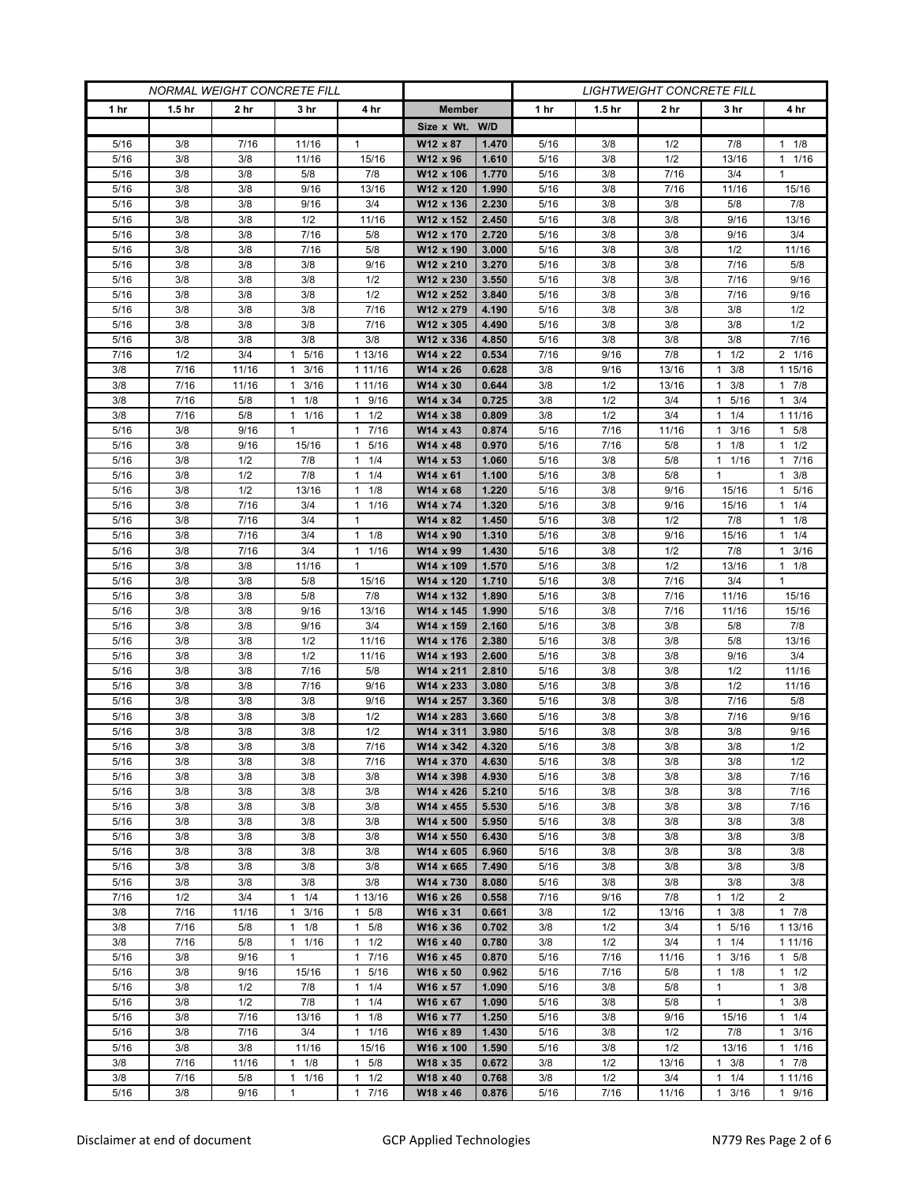| <b>NORMAL WEIGHT CONCRETE FILL</b> |                   |                 |                      |                                |                        | <b>LIGHTWEIGHT CONCRETE FILL</b> |              |                   |            |                      |                       |  |
|------------------------------------|-------------------|-----------------|----------------------|--------------------------------|------------------------|----------------------------------|--------------|-------------------|------------|----------------------|-----------------------|--|
| 1 hr                               | 1.5 <sub>hr</sub> | 2 <sub>hr</sub> | 3 hr                 | 4 hr                           | <b>Member</b>          |                                  | 1 hr         | 1.5 <sub>hr</sub> | 2 hr       | 3 hr                 | 4 hr                  |  |
|                                    |                   |                 |                      |                                | Size x Wt. W/D         |                                  |              |                   |            |                      |                       |  |
| 5/16                               | 3/8               | 7/16            | 11/16                | 1                              | W12 x 87               | 1.470                            | 5/16         | 3/8               | 1/2        | 7/8                  | $1 \t1/8$             |  |
| 5/16                               | 3/8               | 3/8             | 11/16                | 15/16                          | W12 x 96               | 1.610                            | 5/16         | 3/8               | 1/2        | 13/16                | 11/16                 |  |
| 5/16                               | 3/8               | 3/8             | 5/8                  | 7/8                            | W12 x 106              | 1.770                            | 5/16         | 3/8               | 7/16       | 3/4                  | $\mathbf{1}$          |  |
| 5/16                               | 3/8               | 3/8             | 9/16                 | 13/16                          | W12 x 120              | 1.990                            | 5/16         | 3/8               | 7/16       | 11/16                | 15/16                 |  |
| 5/16                               | 3/8               | 3/8             | 9/16                 | 3/4                            | W12 x 136              | 2.230                            | 5/16         | 3/8               | 3/8        | 5/8                  | 7/8                   |  |
| 5/16                               | 3/8               | 3/8             | 1/2                  | 11/16                          | W12 x 152              | 2.450                            | 5/16         | 3/8               | 3/8        | 9/16                 | 13/16                 |  |
| 5/16                               | 3/8               | 3/8             | 7/16                 | 5/8                            | W12 x 170              | 2.720                            | 5/16         | 3/8               | 3/8        | 9/16                 | 3/4                   |  |
| 5/16                               | 3/8               | 3/8             | 7/16                 | 5/8                            | W12 x 190              | 3.000                            | 5/16         | 3/8               | 3/8        | 1/2                  | 11/16                 |  |
| 5/16                               | 3/8               | 3/8             | 3/8                  | 9/16                           | W12 x 210              | 3.270                            | 5/16         | 3/8               | 3/8        | 7/16                 | 5/8                   |  |
| 5/16                               | 3/8               | 3/8             | 3/8                  | 1/2                            | W12 x 230              | 3.550                            | 5/16         | 3/8               | 3/8        | 7/16                 | 9/16                  |  |
| 5/16<br>5/16                       | 3/8<br>3/8        | 3/8<br>3/8      | 3/8<br>3/8           | 1/2<br>7/16                    | W12 x 252              | 3.840<br>4.190                   | 5/16<br>5/16 | 3/8<br>3/8        | 3/8<br>3/8 | 7/16<br>3/8          | 9/16<br>1/2           |  |
| 5/16                               | 3/8               | 3/8             | 3/8                  | 7/16                           | W12 x 279<br>W12 x 305 | 4.490                            | 5/16         | 3/8               | 3/8        | 3/8                  | 1/2                   |  |
| 5/16                               | 3/8               | 3/8             | 3/8                  | 3/8                            | W12 x 336              | 4.850                            | 5/16         | 3/8               | 3/8        | 3/8                  | 7/16                  |  |
| 7/16                               | 1/2               | 3/4             | 5/16<br>1            | 1 13/16                        | W14 x 22               | 0.534                            | 7/16         | 9/16              | 7/8        | 1/2<br>1             | 2 1/16                |  |
| 3/8                                | 7/16              | 11/16           | 3/16<br>1            | 1 11/16                        | W14 x 26               | 0.628                            | 3/8          | 9/16              | 13/16      | 3/8<br>1             | 1 15/16               |  |
| 3/8                                | 7/16              | 11/16           | 3/16<br>$\mathbf{1}$ | 1 11/16                        | W14 x 30               | 0.644                            | 3/8          | 1/2               | 13/16      | 3/8<br>1             | 17/8                  |  |
| 3/8                                | 7/16              | 5/8             | $1 \t1/8$            | 9/16<br>$\mathbf{1}$           | W14 x 34               | 0.725                            | 3/8          | 1/2               | 3/4        | 5/16<br>1            | $1 \t3/4$             |  |
| 3/8                                | 7/16              | 5/8             | 1 1/16               | 1/2<br>1                       | W14 x 38               | 0.809                            | 3/8          | 1/2               | 3/4        | 1/4<br>1             | 1 11/16               |  |
| 5/16                               | 3/8               | 9/16            | $\mathbf{1}$         | 7/16<br>$\mathbf{1}$           | W14 x 43               | 0.874                            | 5/16         | 7/16              | 11/16      | 3/16<br>1            | 1 5/8                 |  |
| 5/16                               | 3/8               | 9/16            | 15/16                | 5/16<br>$\mathbf{1}$           | W14 x 48               | 0.970                            | 5/16         | 7/16              | 5/8        | 1/8<br>1             | $1 \t1/2$             |  |
| 5/16                               | 3/8               | 1/2             | 7/8                  | 1/4<br>$\mathbf{1}$            | W14 x 53               | 1.060                            | 5/16         | 3/8               | 5/8        | 1 1/16               | 17/16                 |  |
| 5/16                               | 3/8               | 1/2             | 7/8                  | 1/4<br>1                       | W14 x 61               | 1.100                            | 5/16         | 3/8               | 5/8        | 1                    | 3/8<br>$\mathbf{1}$   |  |
| 5/16                               | 3/8               | 1/2             | 13/16                | 1/8<br>$\mathbf{1}$            | W14 x 68               | 1.220                            | 5/16         | 3/8               | 9/16       | 15/16                | 1 5/16                |  |
| 5/16                               | 3/8               | 7/16            | 3/4                  | 1/16<br>1                      | W14 x 74               | 1.320                            | 5/16         | 3/8               | 9/16       | 15/16                | $1 \t1/4$             |  |
| 5/16                               | 3/8               | 7/16            | 3/4                  | $\mathbf{1}$                   | W14 x 82               | 1.450                            | 5/16         | 3/8               | 1/2        | 7/8                  | $1 \t1/8$             |  |
| 5/16                               | 3/8               | 7/16            | 3/4                  | $\mathbf{1}$<br>1/8            | W14 x 90               | 1.310                            | 5/16         | 3/8               | 9/16       | 15/16                | $1 \t1/4$             |  |
| 5/16                               | 3/8               | 7/16            | 3/4                  | 1/16<br>$\mathbf{1}$           | W14 x 99               | 1.430                            | 5/16         | 3/8               | 1/2        | 7/8                  | $1 \t3/16$            |  |
| 5/16                               | 3/8               | 3/8             | 11/16                | $\mathbf{1}$                   | W14 x 109              | 1.570                            | 5/16         | 3/8               | 1/2        | 13/16                | $1 \t1/8$             |  |
| 5/16                               | 3/8               | 3/8             | 5/8                  | 15/16                          | W14 x 120              | 1.710                            | 5/16         | 3/8               | 7/16       | 3/4                  | $\mathbf{1}$          |  |
| 5/16                               | 3/8               | 3/8             | 5/8                  | 7/8                            | W14 x 132              | 1.890                            | 5/16         | 3/8               | 7/16       | 11/16                | 15/16                 |  |
| 5/16                               | 3/8               | 3/8             | 9/16                 | 13/16                          | W14 x 145              | 1.990                            | 5/16         | 3/8               | 7/16       | 11/16                | 15/16<br>7/8          |  |
| 5/16<br>5/16                       | 3/8<br>3/8        | 3/8<br>3/8      | 9/16<br>1/2          | 3/4<br>11/16                   | W14 x 159<br>W14 x 176 | 2.160<br>2.380                   | 5/16<br>5/16 | 3/8<br>3/8        | 3/8<br>3/8 | 5/8<br>5/8           | 13/16                 |  |
| 5/16                               | 3/8               | 3/8             | 1/2                  | 11/16                          | W14 x 193              | 2.600                            | 5/16         | 3/8               | 3/8        | 9/16                 | 3/4                   |  |
| 5/16                               | 3/8               | 3/8             | 7/16                 | 5/8                            | W14 x 211              | 2.810                            | 5/16         | 3/8               | 3/8        | 1/2                  | 11/16                 |  |
| 5/16                               | 3/8               | 3/8             | 7/16                 | 9/16                           | W14 x 233              | 3.080                            | 5/16         | 3/8               | 3/8        | 1/2                  | 11/16                 |  |
| 5/16                               | 3/8               | 3/8             | 3/8                  | 9/16                           | W14 x 257              | 3.360                            | 5/16         | 3/8               | 3/8        | 7/16                 | 5/8                   |  |
| 5/16                               | 3/8               | 3/8             | 3/8                  | 1/2                            | W14 x 283              | 3.660                            | 5/16         | 3/8               | 3/8        | 7/16                 | 9/16                  |  |
| 5/16                               | 3/8               | 3/8             | 3/8                  | 1/2                            | W14 x 311              | 3.980                            | 5/16         | 3/8               | 3/8        | 3/8                  | 9/16                  |  |
| 5/16                               | 3/8               | 3/8             | 3/8                  | 7/16                           | W14 x 342              | 4.320                            | 5/16         | 3/8               | 3/8        | 3/8                  | 1/2                   |  |
| 5/16                               | 3/8               | 3/8             | 3/8                  | 7/16                           | W14 x 370              | 4.630                            | 5/16         | 3/8               | 3/8        | 3/8                  | 1/2                   |  |
| 5/16                               | 3/8               | 3/8             | 3/8                  | 3/8                            | W14 x 398              | 4.930                            | 5/16         | 3/8               | 3/8        | 3/8                  | 7/16                  |  |
| 5/16                               | 3/8               | 3/8             | 3/8                  | 3/8                            | W14 x 426              | 5.210                            | 5/16         | 3/8               | 3/8        | 3/8                  | 7/16                  |  |
| 5/16                               | 3/8               | 3/8             | 3/8                  | 3/8                            | W14 x 455              | 5.530                            | 5/16         | 3/8               | 3/8        | 3/8                  | 7/16                  |  |
| 5/16                               | 3/8               | 3/8             | 3/8                  | 3/8                            | W14 x 500              | 5.950                            | 5/16         | 3/8               | 3/8        | 3/8                  | 3/8                   |  |
| 5/16                               | 3/8               | 3/8             | 3/8                  | 3/8                            | W14 x 550              | 6.430                            | 5/16         | 3/8               | 3/8        | 3/8                  | 3/8                   |  |
| 5/16                               | 3/8               | 3/8             | 3/8                  | 3/8                            | W14 x 605              | 6.960                            | 5/16         | 3/8               | 3/8        | 3/8                  | 3/8                   |  |
| 5/16                               | 3/8               | 3/8             | 3/8                  | 3/8                            | W14 x 665              | 7.490                            | 5/16         | 3/8               | 3/8        | 3/8                  | 3/8                   |  |
| 5/16<br>7/16                       | 3/8<br>1/2        | 3/8<br>3/4      | 3/8<br>1/4<br>1      | 3/8                            | W14 x 730              | 8.080<br>0.558                   | 5/16<br>7/16 | 3/8<br>9/16       | 3/8<br>7/8 | 3/8<br>1             | 3/8<br>$\overline{2}$ |  |
| 3/8                                | 7/16              | 11/16           | 3/16<br>$\mathbf{1}$ | 1 13/16<br>5/8<br>$\mathbf{1}$ | W16 x 26<br>W16 x 31   | 0.661                            | 3/8          | 1/2               | 13/16      | 1/2<br>3/8<br>1      | 17/8                  |  |
| 3/8                                | 7/16              | 5/8             | $1 \t1/8$            | 5/8<br>$\mathbf{1}$            | W16 x 36               | 0.702                            | 3/8          | 1/2               | 3/4        | 5/16<br>$\mathbf{1}$ | 1 13/16               |  |
| 3/8                                | 7/16              | 5/8             | 1/16<br>$\mathbf{1}$ | 1/2<br>$\mathbf{1}$            | W16 x 40               | 0.780                            | 3/8          | 1/2               | 3/4        | 1/4<br>1             | 1 11/16               |  |
| 5/16                               | 3/8               | 9/16            | $\mathbf{1}$         | $\mathbf{1}$<br>7/16           | W16 x 45               | 0.870                            | 5/16         | 7/16              | 11/16      | 3/16<br>1            | 1 5/8                 |  |
| 5/16                               | 3/8               | 9/16            | 15/16                | $\mathbf{1}$<br>5/16           | W16 x 50               | 0.962                            | 5/16         | 7/16              | 5/8        | $1 \t1/8$            | $1 \t1/2$             |  |
| 5/16                               | 3/8               | 1/2             | 7/8                  | 1/4<br>$\mathbf{1}$            | W16 x 57               | 1.090                            | 5/16         | 3/8               | 5/8        | $\mathbf{1}$         | $1 \t3/8$             |  |
| 5/16                               | 3/8               | 1/2             | 7/8                  | 1/4<br>$\mathbf{1}$            | W16 x 67               | 1.090                            | 5/16         | 3/8               | 5/8        | $\mathbf{1}$         | $1 \t3/8$             |  |
| 5/16                               | 3/8               | 7/16            | 13/16                | 1/8<br>$\mathbf{1}$            | W16 x 77               | 1.250                            | 5/16         | 3/8               | 9/16       | 15/16                | 11/4                  |  |
| 5/16                               | 3/8               | 7/16            | 3/4                  | $1 \t1/16$                     | W16 x 89               | 1.430                            | 5/16         | 3/8               | 1/2        | 7/8                  | $1 \t3/16$            |  |
| 5/16                               | 3/8               | 3/8             | 11/16                | 15/16                          | W16 x 100              | 1.590                            | 5/16         | 3/8               | 1/2        | 13/16                | $1 \t1/16$            |  |
| 3/8                                | 7/16              | 11/16           | 1/8<br>1             | 5/8<br>1                       | W18 x 35               | 0.672                            | 3/8          | 1/2               | 13/16      | 3/8<br>1             | 17/8                  |  |
| 3/8                                | 7/16              | 5/8             | 1/16<br>1            | 1/2<br>1                       | W18 x 40               | 0.768                            | 3/8          | 1/2               | 3/4        | 1/4<br>1             | 1 11/16               |  |
| 5/16                               | 3/8               | 9/16            | $\mathbf{1}$         | 7/16<br>$\mathbf{1}$           | W18 x 46               | 0.876                            | 5/16         | 7/16              | 11/16      | 3/16<br>1            | 1 9/16                |  |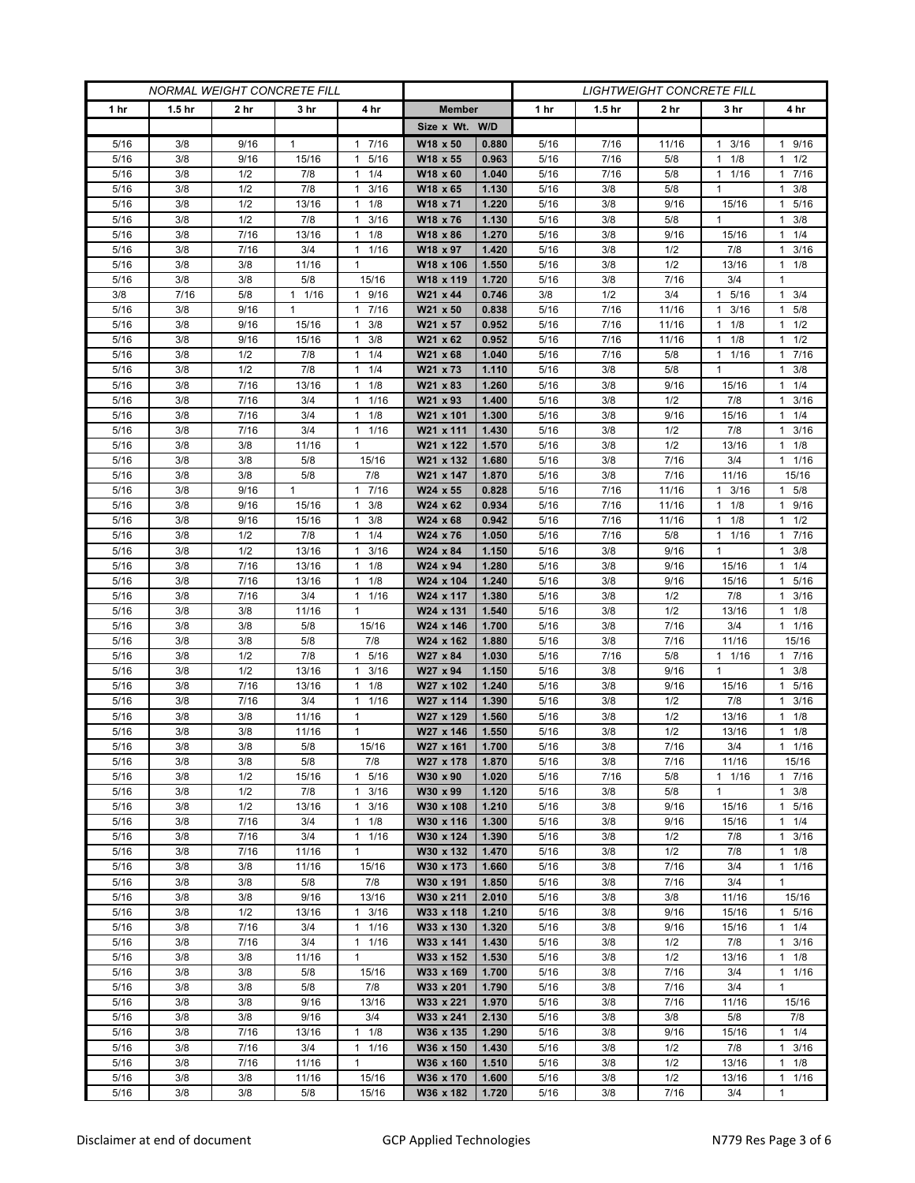| <b>NORMAL WEIGHT CONCRETE FILL</b> |                   |              |              |                                              |                        | <b>LIGHTWEIGHT CONCRETE FILL</b> |              |                   |                 |                       |                                   |  |
|------------------------------------|-------------------|--------------|--------------|----------------------------------------------|------------------------|----------------------------------|--------------|-------------------|-----------------|-----------------------|-----------------------------------|--|
| 1 <sub>hr</sub>                    | 1.5 <sub>hr</sub> | 2 hr         | 3 hr         | 4 hr                                         | <b>Member</b>          |                                  | 1 hr         | 1.5 <sub>hr</sub> | 2 <sub>hr</sub> | 3 hr                  | 4 hr                              |  |
|                                    |                   |              |              |                                              | Size x Wt. W/D         |                                  |              |                   |                 |                       |                                   |  |
| 5/16                               | 3/8               | 9/16         | 1            | 7/16<br>1                                    | W18 x 50               | 0.880                            | 5/16         | 7/16              | 11/16           | 3/16<br>1             | 1 9/16                            |  |
| 5/16                               | 3/8               | 9/16         | 15/16        | 5/16<br>$\mathbf{1}$                         | W18 x 55               | 0.963                            | 5/16         | 7/16              | 5/8             | 1/8<br>1              | $1 \t1/2$                         |  |
| 5/16                               | 3/8               | 1/2          | 7/8          | 1/4<br>$\mathbf{1}$                          | W18 x 60               | 1.040                            | 5/16         | 7/16              | 5/8             | $1 \t1/16$            | 17/16                             |  |
| 5/16                               | 3/8               | 1/2          | 7/8          | 3/16<br>1                                    | W18 x 65               | 1.130                            | 5/16         | 3/8               | 5/8             | 1                     | $1 \t3/8$                         |  |
| 5/16                               | 3/8               | 1/2          | 13/16        | $\mathbf{1}$<br>1/8                          | W18 x 71               | 1.220                            | 5/16         | 3/8               | 9/16            | 15/16                 | 1 5/16                            |  |
| 5/16<br>5/16                       | 3/8<br>3/8        | 1/2<br>7/16  | 7/8<br>13/16 | 3/16<br>$\mathbf{1}$<br>1/8<br>1             | W18 x 76<br>W18 x 86   | 1.130<br>1.270                   | 5/16<br>5/16 | 3/8<br>3/8        | 5/8<br>9/16     | $\mathbf{1}$<br>15/16 | $1 \t3/8$<br>$1 \t1/4$            |  |
| 5/16                               | 3/8               | 7/16         | 3/4          | 1/16<br>$\mathbf{1}$                         | W18 x 97               | 1.420                            | 5/16         | 3/8               | 1/2             | 7/8                   | $1 \t3/16$                        |  |
| 5/16                               | 3/8               | 3/8          | 11/16        | $\mathbf{1}$                                 | W18 x 106              | 1.550                            | 5/16         | 3/8               | 1/2             | 13/16                 | $1 \t1/8$                         |  |
| 5/16                               | 3/8               | 3/8          | 5/8          | 15/16                                        | W18 x 119              | 1.720                            | 5/16         | 3/8               | 7/16            | 3/4                   | 1                                 |  |
| 3/8                                | 7/16              | 5/8          | 11/16        | 9/16<br>$\mathbf{1}$                         | W21 x 44               | 0.746                            | 3/8          | 1/2               | 3/4             | 1 5/16                | $1 \t3/4$                         |  |
| 5/16                               | 3/8               | 9/16         | 1            | 7/16<br>$\mathbf{1}$                         | W21 x 50               | 0.838                            | 5/16         | 7/16              | 11/16           | 3/16                  | $1 \t5/8$                         |  |
| 5/16                               | 3/8               | 9/16         | 15/16        | 3/8<br>$\mathbf{1}$                          | W21 x 57               | 0.952                            | 5/16         | 7/16              | 11/16           | 1/8<br>1              | 1/2<br>1                          |  |
| 5/16                               | 3/8               | 9/16         | 15/16        | 3/8<br>$\mathbf{1}$                          | W21 x 62               | 0.952                            | 5/16         | 7/16              | 11/16           | 1/8<br>1              | $1 \t1/2$                         |  |
| 5/16                               | 3/8               | 1/2          | 7/8          | 1/4<br>1                                     | W21 x 68               | 1.040                            | 5/16         | 7/16              | 5/8             | 1/16<br>1             | 17/16                             |  |
| 5/16                               | 3/8               | 1/2          | 7/8          | 1/4<br>$\mathbf{1}$                          | W21 x 73               | 1.110                            | 5/16         | 3/8               | 5/8             | $\mathbf{1}$          | $1 \t3/8$                         |  |
| 5/16                               | 3/8               | 7/16         | 13/16        | 1/8<br>$\mathbf{1}$                          | W21 x 83               | 1.260                            | 5/16         | 3/8               | 9/16            | 15/16                 | 11/4                              |  |
| 5/16                               | 3/8               | 7/16         | 3/4          | 1/16<br>$\mathbf{1}$                         | W21 x 93               | 1.400                            | 5/16         | 3/8               | 1/2             | 7/8                   | $1 \t3/16$                        |  |
| 5/16<br>5/16                       | 3/8<br>3/8        | 7/16<br>7/16 | 3/4<br>3/4   | 1/8<br>1<br>1/16<br>$\mathbf{1}$             | W21 x 101<br>W21 x 111 | 1.300<br>1.430                   | 5/16<br>5/16 | 3/8<br>3/8        | 9/16<br>1/2     | 15/16<br>7/8          | $1 \t1/4$<br>3/16<br>$\mathbf{1}$ |  |
| 5/16                               | 3/8               | 3/8          | 11/16        | $\mathbf{1}$                                 | W21 x 122              | 1.570                            | 5/16         | 3/8               | 1/2             | 13/16                 | $1 \t1/8$                         |  |
| 5/16                               | 3/8               | 3/8          | 5/8          | 15/16                                        | W21 x 132              | 1.680                            | 5/16         | 3/8               | 7/16            | 3/4                   | $1 \t1/16$                        |  |
| 5/16                               | 3/8               | 3/8          | 5/8          | 7/8                                          | W21 x 147              | 1.870                            | 5/16         | 3/8               | 7/16            | 11/16                 | 15/16                             |  |
| 5/16                               | 3/8               | 9/16         | $\mathbf{1}$ | 7/16<br>$\mathbf{1}$                         | W24 x 55               | 0.828                            | 5/16         | 7/16              | 11/16           | 3/16<br>1             | 1 5/8                             |  |
| 5/16                               | 3/8               | 9/16         | 15/16        | 3/8<br>1                                     | W24 x 62               | 0.934                            | 5/16         | 7/16              | 11/16           | $1 \t1/8$             | 1 9/16                            |  |
| 5/16                               | 3/8               | 9/16         | 15/16        | 3/8<br>1                                     | W24 x 68               | 0.942                            | 5/16         | 7/16              | 11/16           | 1/8<br>1              | $1 \t1/2$                         |  |
| 5/16                               | 3/8               | 1/2          | 7/8          | 1/4<br>$\mathbf{1}$                          | W24 x 76               | 1.050                            | 5/16         | 7/16              | 5/8             | 1/16<br>$\mathbf{1}$  | 17/16                             |  |
| 5/16                               | 3/8               | 1/2          | 13/16        | 3/16<br>1                                    | W24 x 84               | 1.150                            | 5/16         | 3/8               | 9/16            | 1                     | $1 \t3/8$                         |  |
| 5/16                               | 3/8               | 7/16         | 13/16        | 1/8<br>1                                     | W24 x 94               | 1.280                            | 5/16         | 3/8               | 9/16            | 15/16                 | $1 \t1/4$                         |  |
| 5/16                               | 3/8               | 7/16         | 13/16        | $\mathbf{1}$<br>1/8                          | W24 x 104              | 1.240                            | 5/16         | 3/8               | 9/16            | 15/16                 | 1 5/16                            |  |
| 5/16<br>5/16                       | 3/8<br>3/8        | 7/16<br>3/8  | 3/4<br>11/16 | 1/16<br>$\mathbf{1}$<br>1                    | W24 x 117<br>W24 x 131 | 1.380<br>1.540                   | 5/16<br>5/16 | 3/8<br>3/8        | 1/2<br>1/2      | 7/8<br>13/16          | $1 \t3/16$<br>$1 \t1/8$           |  |
| 5/16                               | 3/8               | 3/8          | 5/8          | 15/16                                        | W24 x 146              | 1.700                            | 5/16         | 3/8               | 7/16            | 3/4                   | 11/16                             |  |
| 5/16                               | 3/8               | 3/8          | 5/8          | 7/8                                          | W24 x 162              | 1.880                            | 5/16         | 3/8               | 7/16            | 11/16                 | 15/16                             |  |
| 5/16                               | 3/8               | 1/2          | 7/8          | 5/16<br>$\mathbf{1}$                         | W27 x 84               | 1.030                            | 5/16         | 7/16              | 5/8             | $1 \t1/16$            | $1 \quad 7/16$                    |  |
| 5/16                               | 3/8               | 1/2          | 13/16        | 3/16<br>$\mathbf{1}$                         | W27 x 94               | 1.150                            | 5/16         | 3/8               | 9/16            | 1                     | $1 \t3/8$                         |  |
| 5/16                               | 3/8               | 7/16         | 13/16        | 1/8<br>1                                     | W27 x 102              | 1.240                            | 5/16         | 3/8               | 9/16            | 15/16                 | 5/16<br>$\mathbf{1}$              |  |
| 5/16                               | 3/8               | 7/16         | 3/4          | 1/16<br>$\mathbf{1}$                         | W27 x 114              | 1.390                            | 5/16         | 3/8               | 1/2             | 7/8                   | 3/16<br>1                         |  |
| 5/16                               | 3/8               | 3/8          | 11/16        | $\mathbf{1}$                                 | W27 x 129              | 1.560                            | 5/16         | 3/8               | 1/2             | 13/16                 | $1 \t1/8$                         |  |
| 5/16                               | 3/8               | 3/8          | 11/16        | $\mathbf{1}$                                 | W27 x 146              | 1.550                            | 5/16         | 3/8               | 1/2             | 13/16                 | $1 \t1/8$                         |  |
| 5/16<br>5/16                       | 3/8               | 3/8<br>3/8   | 5/8          | 15/16<br>7/8                                 | W27 x 161              | 1.700<br>1.870                   | 5/16         | 3/8               | 7/16            | 3/4                   | 11/16                             |  |
| 5/16                               | 3/8<br>3/8        | 1/2          | 5/8<br>15/16 | 5/16<br>$\mathbf{1}$                         | W27 x 178<br>W30 x 90  | 1.020                            | 5/16<br>5/16 | 3/8<br>7/16       | 7/16<br>5/8     | 11/16<br>$1 \t1/16$   | 15/16<br>17/16                    |  |
| 5/16                               | 3/8               | 1/2          | 7/8          | 3/16<br>$\mathbf{1}$                         | W30 x 99               | 1.120                            | 5/16         | 3/8               | 5/8             | 1                     | $1 \t3/8$                         |  |
| 5/16                               | 3/8               | 1/2          | 13/16        | 3/16<br>$\mathbf{1}$                         | W30 x 108              | 1.210                            | 5/16         | 3/8               | 9/16            | 15/16                 | 1 5/16                            |  |
| 5/16                               | 3/8               | 7/16         | 3/4          | 1/8<br>$\mathbf{1}$                          | W30 x 116              | 1.300                            | 5/16         | 3/8               | 9/16            | 15/16                 | $1 \t1/4$                         |  |
| 5/16                               | 3/8               | 7/16         | 3/4          | 1/16<br>$\mathbf{1}$                         | W30 x 124              | 1.390                            | 5/16         | 3/8               | 1/2             | 7/8                   | $1 \t3/16$                        |  |
| 5/16                               | 3/8               | 7/16         | 11/16        | $\mathbf{1}$                                 | W30 x 132              | 1.470                            | 5/16         | 3/8               | 1/2             | 7/8                   | $1 \t1/8$                         |  |
| 5/16                               | 3/8               | 3/8          | 11/16        | 15/16                                        | W30 x 173              | 1.660                            | 5/16         | 3/8               | 7/16            | 3/4                   | 11/16                             |  |
| 5/16                               | 3/8               | 3/8          | 5/8          | 7/8                                          | W30 x 191              | 1.850                            | 5/16         | 3/8               | 7/16            | 3/4                   | 1                                 |  |
| 5/16                               | 3/8               | 3/8          | 9/16         | 13/16                                        | W30 x 211              | 2.010                            | 5/16         | 3/8               | 3/8             | 11/16                 | 15/16                             |  |
| 5/16                               | 3/8               | 1/2          | 13/16        | $\mathbf{1}$<br>3/16                         | W33 x 118              | 1.210                            | 5/16         | 3/8               | 9/16            | 15/16                 | 1 5/16                            |  |
| 5/16<br>5/16                       | 3/8<br>3/8        | 7/16<br>7/16 | 3/4<br>3/4   | 1/16<br>$\mathbf{1}$<br>1/16<br>$\mathbf{1}$ | W33 x 130              | 1.320<br>1.430                   | 5/16<br>5/16 | 3/8<br>3/8        | 9/16<br>1/2     | 15/16<br>7/8          | $1 \t1/4$<br>$1 \t3/16$           |  |
| 5/16                               | 3/8               | 3/8          | 11/16        | $\mathbf{1}$                                 | W33 x 141<br>W33 x 152 | 1.530                            | 5/16         | 3/8               | 1/2             | 13/16                 | $1 \t1/8$                         |  |
| 5/16                               | 3/8               | 3/8          | 5/8          | 15/16                                        | W33 x 169              | 1.700                            | 5/16         | 3/8               | 7/16            | 3/4                   | 11/16                             |  |
| 5/16                               | 3/8               | 3/8          | 5/8          | 7/8                                          | W33 x 201              | 1.790                            | 5/16         | 3/8               | 7/16            | 3/4                   | 1                                 |  |
| 5/16                               | 3/8               | 3/8          | 9/16         | 13/16                                        | W33 x 221              | 1.970                            | 5/16         | 3/8               | 7/16            | 11/16                 | 15/16                             |  |
| 5/16                               | 3/8               | 3/8          | 9/16         | 3/4                                          | W33 x 241              | 2.130                            | 5/16         | 3/8               | 3/8             | 5/8                   | 7/8                               |  |
| 5/16                               | 3/8               | 7/16         | 13/16        | $1 \t1/8$                                    | W36 x 135              | 1.290                            | 5/16         | 3/8               | 9/16            | 15/16                 | $1 \t1/4$                         |  |
| 5/16                               | 3/8               | 7/16         | 3/4          | 1/16<br>$\mathbf{1}$                         | W36 x 150              | 1.430                            | 5/16         | 3/8               | 1/2             | 7/8                   | $1 \t3/16$                        |  |
| 5/16                               | 3/8               | 7/16         | 11/16        | $\mathbf{1}$                                 | W36 x 160              | 1.510                            | 5/16         | 3/8               | 1/2             | 13/16                 | $1 \t1/8$                         |  |
| 5/16                               | 3/8               | 3/8          | 11/16        | 15/16                                        | W36 x 170              | 1.600                            | 5/16         | 3/8               | 1/2             | 13/16                 | $1 \t1/16$                        |  |
| 5/16                               | 3/8               | 3/8          | 5/8          | 15/16                                        | W36 x 182              | 1.720                            | 5/16         | 3/8               | 7/16            | 3/4                   | $\mathbf{1}$                      |  |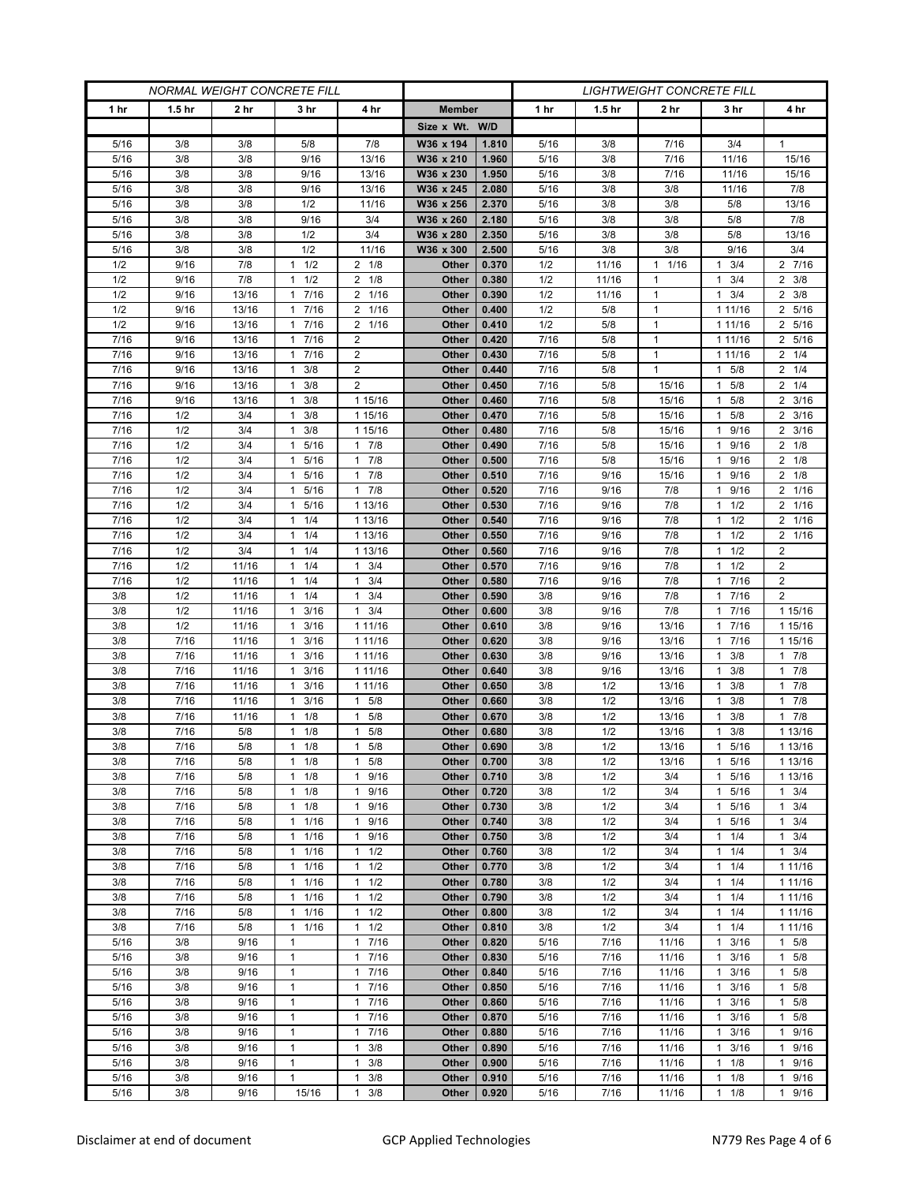| <b>NORMAL WEIGHT CONCRETE FILL</b> |                   |                |                                   |                                              | <b>LIGHTWEIGHT CONCRETE FILL</b> |                |              |                   |                              |                                      |                                    |
|------------------------------------|-------------------|----------------|-----------------------------------|----------------------------------------------|----------------------------------|----------------|--------------|-------------------|------------------------------|--------------------------------------|------------------------------------|
| 1 <sub>hr</sub>                    | 1.5 <sub>hr</sub> | 2 hr           | 3 hr                              | 4 hr                                         | <b>Member</b>                    |                | 1 hr         | 1.5 <sub>hr</sub> | 2 hr                         | 3 hr                                 | 4 hr                               |
|                                    |                   |                |                                   |                                              | Size x Wt. W/D                   |                |              |                   |                              |                                      |                                    |
| 5/16                               | 3/8               | 3/8            | 5/8                               | 7/8                                          | W36 x 194                        | 1.810          | 5/16         | 3/8               | 7/16                         | 3/4                                  | 1                                  |
| 5/16                               | 3/8               | 3/8            | 9/16                              | 13/16                                        | W36 x 210                        | 1.960          | 5/16         | 3/8               | 7/16                         | 11/16                                | 15/16                              |
| 5/16                               | 3/8               | 3/8            | 9/16                              | 13/16                                        | W36 x 230                        | 1.950          | 5/16         | 3/8               | 7/16                         | 11/16                                | 15/16                              |
| 5/16                               | 3/8               | 3/8            | 9/16                              | 13/16                                        | W36 x 245                        | 2.080          | 5/16         | 3/8               | 3/8                          | 11/16                                | 7/8                                |
| 5/16                               | 3/8               | 3/8            | 1/2                               | 11/16                                        | W36 x 256                        | 2.370          | 5/16         | 3/8               | 3/8                          | 5/8                                  | 13/16                              |
| 5/16                               | 3/8               | 3/8            | 9/16                              | 3/4                                          | W36 x 260                        | 2.180          | 5/16         | 3/8               | 3/8                          | 5/8                                  | 7/8                                |
| 5/16                               | 3/8               | 3/8            | 1/2                               | 3/4                                          | W36 x 280                        | 2.350          | 5/16         | 3/8               | 3/8                          | 5/8                                  | 13/16                              |
| 5/16                               | 3/8               | 3/8            | 1/2                               | 11/16                                        | W36 x 300                        | 2.500          | 5/16         | 3/8               | 3/8                          | 9/16                                 | 3/4                                |
| 1/2                                | 9/16              | 7/8            | 1/2<br>1                          | $2 \t1/8$                                    | Other                            | 0.370          | 1/2          | 11/16             | 1/16<br>$\mathbf{1}$         | 3/4<br>1                             | 2 7/16                             |
| 1/2                                | 9/16              | 7/8            | 1/2<br>$\mathbf{1}$               | $2 \t1/8$<br>2                               | Other                            | 0.380<br>0.390 | 1/2          | 11/16             | $\mathbf{1}$<br>$\mathbf{1}$ | 3/4<br>1<br>3/4                      | $2 \frac{3}{8}$<br>$2 \frac{3}{8}$ |
| 1/2<br>1/2                         | 9/16<br>9/16      | 13/16<br>13/16 | 7/16<br>1<br>7/16<br>$\mathbf{1}$ | 1/16<br>2<br>1/16                            | Other<br>Other                   | 0.400          | 1/2<br>1/2   | 11/16<br>5/8      | $\mathbf{1}$                 | 1<br>1 11/16                         | 2 5/16                             |
| 1/2                                | 9/16              | 13/16          | 7/16<br>1                         | 1/16<br>$\overline{2}$                       | Other                            | 0.410          | 1/2          | 5/8               | $\mathbf{1}$                 | 1 11/16                              | 2 5/16                             |
| 7/16                               | 9/16              | 13/16          | 7/16<br>$\mathbf{1}$              | $\overline{2}$                               | Other                            | 0.420          | 7/16         | 5/8               | $\mathbf{1}$                 | 1 1 1 / 1 6                          | 2 5/16                             |
| 7/16                               | 9/16              | 13/16          | 7/16<br>$\mathbf{1}$              | $\overline{2}$                               | Other                            | 0.430          | 7/16         | 5/8               | $\mathbf{1}$                 | 1 11/16                              | $2 \t1/4$                          |
| 7/16                               | 9/16              | 13/16          | 3/8<br>$\mathbf{1}$               | $\overline{2}$                               | Other                            | 0.440          | 7/16         | 5/8               | $\mathbf{1}$                 | 5/8<br>1                             | $2 \t1/4$                          |
| 7/16                               | 9/16              | 13/16          | 3/8<br>$\mathbf{1}$               | $\overline{2}$                               | Other                            | 0.450          | 7/16         | 5/8               | 15/16                        | 5/8<br>1                             | $2 \t1/4$                          |
| 7/16                               | 9/16              | 13/16          | $1 \t3/8$                         | 1 15/16                                      | Other                            | 0.460          | 7/16         | 5/8               | 15/16                        | 5/8<br>$\mathbf{1}$                  | $2 \frac{3}{16}$                   |
| 7/16                               | 1/2               | 3/4            | 3/8<br>$\mathbf{1}$               | 1 15/16                                      | Other                            | 0.470          | 7/16         | 5/8               | 15/16                        | 5/8<br>1                             | $2 \frac{3}{16}$                   |
| 7/16                               | 1/2               | 3/4            | 3/8<br>1                          | 1 15/16                                      | Other                            | 0.480          | 7/16         | 5/8               | 15/16                        | 9/16<br>1                            | $2 \frac{3}{16}$                   |
| 7/16                               | 1/2               | 3/4            | 5/16<br>$\mathbf{1}$              | 7/8<br>$\mathbf{1}$                          | Other                            | 0.490          | 7/16         | 5/8               | 15/16                        | 9/16<br>1                            | $2 \t1/8$                          |
| 7/16                               | 1/2               | 3/4            | 1 5/16                            | 7/8<br>1                                     | Other                            | 0.500          | 7/16         | 5/8               | 15/16                        | 1 9/16                               | $2 \t1/8$                          |
| 7/16                               | 1/2               | 3/4            | 5/16<br>1                         | 7/8<br>$\mathbf{1}$                          | Other                            | 0.510          | 7/16         | 9/16              | 15/16                        | 9/16                                 | $2 \t1/8$                          |
| 7/16                               | 1/2               | 3/4            | $\mathbf{1}$<br>5/16              | 7/8<br>$\mathbf{1}$                          | <b>Other</b>                     | 0.520          | 7/16         | 9/16              | 7/8                          | 9/16<br>1                            | 2 1/16                             |
| 7/16                               | 1/2               | 3/4            | 1 5/16                            | 1 13/16                                      | Other                            | 0.530          | 7/16         | 9/16              | 7/8                          | $1 \t1/2$                            | 2 1/16                             |
| 7/16                               | 1/2               | 3/4            | 1/4<br>1                          | 1 13/16                                      | Other                            | 0.540          | 7/16         | 9/16              | 7/8                          | 1/2<br>1                             | 2 1/16                             |
| 7/16                               | 1/2               | 3/4<br>3/4     | 1/4<br>$\mathbf{1}$               | 1 13/16                                      | <b>Other</b>                     | 0.550          | 7/16         | 9/16              | 7/8                          | 1/2<br>1                             | 2 1/16<br>$\overline{2}$           |
| 7/16<br>7/16                       | 1/2<br>1/2        | 11/16          | $1 \t1/4$<br>1/4<br>1             | 1 13/16<br>3/4<br>1                          | Other<br>Other                   | 0.560<br>0.570 | 7/16<br>7/16 | 9/16<br>9/16      | 7/8<br>7/8                   | $1 \t1/2$<br>1/2<br>1                | $\overline{2}$                     |
| 7/16                               | 1/2               | 11/16          | 1/4<br>1                          | $\mathbf{1}$<br>3/4                          | Other                            | 0.580          | 7/16         | 9/16              | 7/8                          | 7/16<br>1                            | $\overline{2}$                     |
| 3/8                                | 1/2               | 11/16          | $1 \t1/4$                         | 3/4<br>$\mathbf{1}$                          | Other                            | 0.590          | 3/8          | 9/16              | 7/8                          | 1 7/16                               | $\overline{2}$                     |
| 3/8                                | 1/2               | 11/16          | 3/16<br>1                         | 3/4<br>1                                     | Other                            | 0.600          | 3/8          | 9/16              | 7/8                          | 7/16<br>1                            | 1 15/16                            |
| 3/8                                | 1/2               | 11/16          | 3/16<br>$\mathbf{1}$              | 1 1 1/16                                     | Other                            | 0.610          | 3/8          | 9/16              | 13/16                        | 7/16<br>1                            | 1 15/16                            |
| 3/8                                | 7/16              | 11/16          | 3/16<br>1                         | 1 11/16                                      | <b>Other</b>                     | 0.620          | 3/8          | 9/16              | 13/16                        | 7/16<br>1                            | 1 15/16                            |
| 3/8                                | 7/16              | 11/16          | 3/16<br>1                         | 1 11/16                                      | Other                            | 0.630          | 3/8          | 9/16              | 13/16                        | 3/8<br>1                             | $1 \t7/8$                          |
| 3/8                                | 7/16              | 11/16          | 3/16<br>$\mathbf{1}$              | 1 11/16                                      | Other                            | 0.640          | 3/8          | 9/16              | 13/16                        | 3/8<br>1                             | 17/8                               |
| 3/8                                | 7/16              | 11/16          | 3/16<br>1                         | 1 11/16                                      | Other                            | 0.650          | 3/8          | 1/2               | 13/16                        | 3/8                                  | 17/8                               |
| 3/8                                | 7/16              | 11/16          | 3/16<br>1                         | 5/8<br>$\mathbf{1}$                          | Other                            | 0.660          | 3/8          | 1/2               | 13/16                        | 3/8<br>1                             | 17/8                               |
| 3/8                                | 7/16              | 11/16          | $\mathbf{1}$<br>1/8               | $\mathbf{1}$<br>5/8                          | Other                            | 0.670          | 3/8          | 1/2               | 13/16                        | 3/8<br>1                             | 17/8                               |
| 3/8                                | 7/16              | 5/8            | 1/8<br>1                          | 5/8<br>1                                     | Other                            | 0.680          | 3/8          | 1/2               | 13/16                        | 3/8                                  | 1 13/16                            |
| 3/8                                | 7/16              | 5/8            | 1/8<br>$\mathbf{1}$               | 5/8<br>$\mathbf{1}$                          | Other                            | 0.690          | 3/8          | 1/2               | 13/16                        | 5/16<br>$\mathbf{1}$                 | 1 13/16                            |
| 3/8                                | 7/16              | 5/8            | $1 \t1/8$                         | 5/8<br>$\mathbf{1}$                          | Other                            | 0.700          | 3/8          | 1/2               | 13/16                        | 5/16<br>$\mathbf{1}$<br>$\mathbf{1}$ | 1 13/16                            |
| 3/8<br>3/8                         | 7/16<br>7/16      | 5/8<br>5/8     | $1 \t1/8$<br>$1 \t1/8$            | 9/16<br>$\mathbf{1}$<br>9/16<br>1            | Other<br>Other                   | 0.710<br>0.720 | 3/8<br>3/8   | 1/2<br>1/2        | 3/4<br>3/4                   | 5/16<br>5/16<br>1                    | 1 13/16<br>$1 \t3/4$               |
| 3/8                                | 7/16              | 5/8            | 1/8<br>1                          | 9/16<br>$\mathbf{1}$                         | Other                            | 0.730          | 3/8          | 1/2               | 3/4                          | 5/16                                 | $1 \t3/4$                          |
| 3/8                                | 7/16              | 5/8            | 11/16                             | 9/16<br>$\mathbf{1}$                         | Other                            | 0.740          | 3/8          | 1/2               | 3/4                          | 5/16<br>1                            | $1 \t3/4$                          |
| 3/8                                | 7/16              | 5/8            | 11/16                             | 9/16<br>1                                    | Other                            | 0.750          | 3/8          | 1/2               | 3/4                          | $1 \t1/4$                            | $1 \t3/4$                          |
| 3/8                                | 7/16              | 5/8            | 1/16<br>1                         | 1/2<br>$\mathbf{1}$                          | Other                            | 0.760          | 3/8          | 1/2               | 3/4                          | 1/4                                  | $1 \t3/4$                          |
| 3/8                                | 7/16              | 5/8            | $1 \t1/16$                        | 1/2<br>$\mathbf{1}$                          | Other                            | 0.770          | 3/8          | 1/2               | 3/4                          | 1/4<br>$\mathbf{1}$                  | 1 11/16                            |
| 3/8                                | 7/16              | 5/8            | 11/16                             | 1/2<br>1                                     | Other                            | 0.780          | 3/8          | 1/2               | 3/4                          | $1 \t1/4$                            | 1 11/16                            |
| 3/8                                | 7/16              | 5/8            | 1/16<br>$\mathbf{1}$              | 1/2<br>$\mathbf{1}$                          | Other                            | 0.790          | 3/8          | 1/2               | 3/4                          | 1/4<br>1                             | 1 11/16                            |
| 3/8                                | 7/16              | 5/8            | 11/16                             | $\mathbf{1}$<br>1/2                          | Other                            | 0.800          | 3/8          | 1/2               | 3/4                          | 1/4<br>$\mathbf{1}$                  | 1 11/16                            |
| 3/8                                | 7/16              | 5/8            | 11/16                             | 1/2<br>$\mathbf{1}$                          | Other                            | 0.810          | 3/8          | 1/2               | 3/4                          | $1 \t1/4$                            | 1 11/16                            |
| 5/16                               | 3/8               | 9/16           | 1                                 | 7/16<br>$\mathbf{1}$                         | Other                            | 0.820          | 5/16         | 7/16              | 11/16                        | 3/16<br>1                            | 1 5/8                              |
| 5/16                               | 3/8               | 9/16           | $\mathbf{1}$                      | $\mathbf{1}$<br>7/16                         | Other                            | 0.830          | 5/16         | 7/16              | 11/16                        | 3/16<br>1                            | 1 5/8                              |
| 5/16                               | 3/8               | 9/16           | $\mathbf{1}$                      | 7/16<br>$\mathbf{1}$                         | Other                            | 0.840          | 5/16         | 7/16              | 11/16                        | 3/16<br>$\mathbf{1}$                 | 1 5/8                              |
| 5/16                               | 3/8               | 9/16           | $\mathbf{1}$                      | 7/16<br>$\mathbf{1}$                         | Other                            | 0.850          | 5/16         | 7/16              | 11/16                        | 3/16<br>$\mathbf{1}$                 | 1 5/8                              |
| 5/16                               | 3/8               | 9/16           | $\mathbf{1}$                      | 7/16<br>1                                    | Other                            | 0.860          | 5/16         | 7/16              | 11/16                        | 3/16<br>1                            | 1 5/8                              |
| 5/16<br>5/16                       | 3/8<br>3/8        | 9/16<br>9/16   | $\mathbf{1}$<br>$\mathbf{1}$      | 7/16<br>$\mathbf{1}$<br>7/16<br>$\mathbf{1}$ | Other<br>Other                   | 0.870<br>0.880 | 5/16<br>5/16 | 7/16<br>7/16      | 11/16<br>11/16               | 3/16<br>1<br>3/16<br>1               | 1 5/8<br>1 9/16                    |
| 5/16                               | 3/8               | 9/16           | $\mathbf{1}$                      | 3/8<br>$\mathbf{1}$                          | Other                            | 0.890          | 5/16         | 7/16              | 11/16                        | 3/16<br>1                            | 1 9/16                             |
| 5/16                               | 3/8               | 9/16           | $\mathbf{1}$                      | 3/8<br>1                                     | Other                            | 0.900          | 5/16         | 7/16              | 11/16                        | 1/8<br>1                             | 1 9/16                             |
| 5/16                               | 3/8               | 9/16           | $\mathbf{1}$                      | 3/8<br>1                                     | Other                            | 0.910          | 5/16         | 7/16              | 11/16                        | 1/8<br>1                             | 1 9/16                             |
| 5/16                               | 3/8               | 9/16           | 15/16                             | 3/8<br>$\mathbf{1}$                          | Other                            | 0.920          | 5/16         | 7/16              | 11/16                        | $\mathbf{1}$<br>1/8                  | 1<br>9/16                          |
|                                    |                   |                |                                   |                                              |                                  |                |              |                   |                              |                                      |                                    |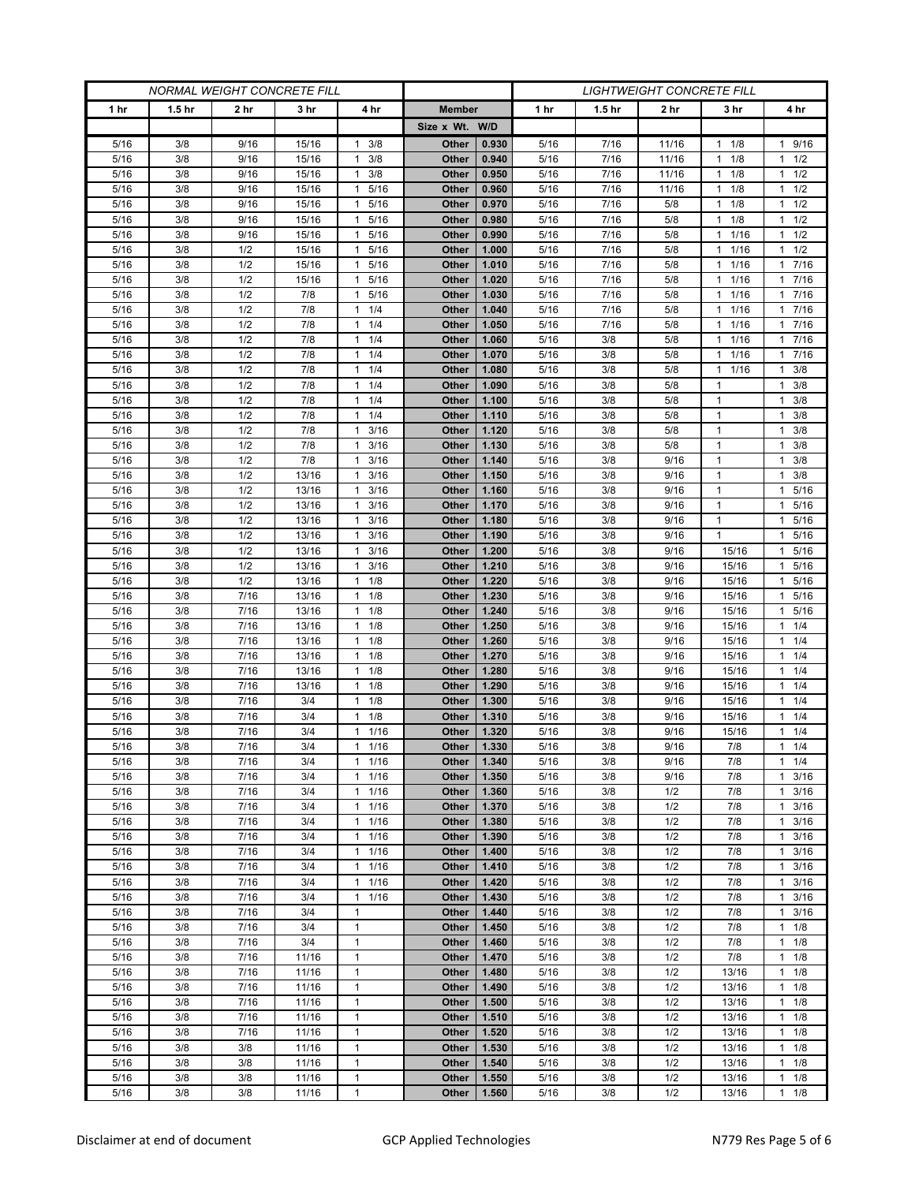| <b>NORMAL WEIGHT CONCRETE FILL</b> |                   |              |                |                                              |                | <i>LIGHTWEIGHT CONCRETE FILL</i> |              |                   |              |                   |                                    |  |
|------------------------------------|-------------------|--------------|----------------|----------------------------------------------|----------------|----------------------------------|--------------|-------------------|--------------|-------------------|------------------------------------|--|
| 1 <sub>hr</sub>                    | 1.5 <sub>hr</sub> | 2 hr         | 3 hr           | 4 hr                                         | <b>Member</b>  |                                  | 1 hr         | 1.5 <sub>hr</sub> | 2 hr         | 3 hr              | 4 hr                               |  |
|                                    |                   |              |                |                                              | Size x Wt. W/D |                                  |              |                   |              |                   |                                    |  |
| 5/16                               | 3/8               | 9/16         | 15/16          | 3/8<br>1                                     | Other          | 0.930                            | 5/16         | 7/16              | 11/16        | 1/8<br>1          | 1 9/16                             |  |
| 5/16                               | 3/8               | 9/16         | 15/16          | 3/8<br>$\mathbf{1}$                          | Other          | 0.940                            | 5/16         | 7/16              | 11/16        | 1/8<br>1          | $1 \t1/2$                          |  |
| 5/16                               | 3/8               | 9/16         | 15/16          | $\mathbf{1}$<br>3/8                          | Other          | 0.950                            | 5/16         | 7/16              | 11/16        | 1/8<br>1.         | $1 \t1/2$                          |  |
| 5/16                               | 3/8               | 9/16         | 15/16          | 5/16<br>$\mathbf{1}$                         | Other          | 0.960                            | 5/16         | 7/16              | 11/16        | 1/8<br>1          | $1 \t1/2$                          |  |
| 5/16                               | 3/8               | 9/16         | 15/16          | 5/16<br>$\mathbf{1}$                         | Other          | 0.970                            | 5/16         | 7/16              | 5/8          | 1/8<br>1          | $1 \t1/2$                          |  |
| 5/16                               | 3/8               | 9/16         | 15/16          | 5/16<br>$\mathbf{1}$                         | Other          | 0.980                            | 5/16         | 7/16              | 5/8          | 1/8<br>1          | $1 \t1/2$                          |  |
| 5/16                               | 3/8               | 9/16         | 15/16          | 5/16<br>1                                    | Other          | 0.990                            | 5/16         | 7/16              | 5/8          | 1/16<br>1         | $1 \t1/2$                          |  |
| 5/16                               | 3/8               | 1/2          | 15/16          | 5/16<br>1                                    | Other          | 1.000                            | 5/16         | 7/16              | 5/8          | 1/16<br>1         | $1 \t1/2$                          |  |
| 5/16                               | 3/8               | 1/2          | 15/16          | 5/16<br>$\mathbf{1}$                         | Other          | 1.010                            | 5/16         | 7/16              | 5/8          | 1/16              | 1 7/16                             |  |
| 5/16                               | 3/8               | 1/2          | 15/16          | 5/16<br>$\mathbf{1}$                         | Other          | 1.020                            | 5/16         | 7/16              | 5/8          | 1/16<br>1         | 17/16                              |  |
| 5/16<br>5/16                       | 3/8<br>3/8        | 1/2<br>1/2   | 7/8<br>7/8     | 5/16<br>$\mathbf{1}$<br>1/4<br>$\mathbf{1}$  | Other<br>Other | 1.030<br>1.040                   | 5/16<br>5/16 | 7/16<br>7/16      | 5/8<br>5/8   | 1/16<br>1<br>1/16 | 17/16<br>17/16                     |  |
| 5/16                               | 3/8               | 1/2          | 7/8            | 1/4<br>$\mathbf{1}$                          | Other          | 1.050                            | 5/16         | 7/16              | 5/8          | 1/16<br>1         | 17/16                              |  |
| 5/16                               | 3/8               | 1/2          | 7/8            | 1/4<br>1                                     | Other          | 1.060                            | 5/16         | 3/8               | 5/8          | 1/16<br>1         | 17/16                              |  |
| 5/16                               | 3/8               | 1/2          | 7/8            | 1/4<br>1                                     | Other          | 1.070                            | 5/16         | 3/8               | 5/8          | 1/16              | 7/16<br>$\mathbf{1}$               |  |
| 5/16                               | 3/8               | 1/2          | 7/8            | 1/4<br>$\mathbf{1}$                          | Other          | 1.080                            | 5/16         | 3/8               | 5/8          | 1/16<br>1         | $1 \t3/8$                          |  |
| 5/16                               | 3/8               | 1/2          | 7/8            | 1/4<br>$\mathbf{1}$                          | Other          | 1.090                            | 5/16         | 3/8               | 5/8          | $\mathbf{1}$      | 3/8<br>$\mathbf{1}$                |  |
| 5/16                               | 3/8               | 1/2          | 7/8            | 1/4<br>1                                     | Other          | 1.100                            | 5/16         | 3/8               | 5/8          | $\mathbf{1}$      | $1 \t3/8$                          |  |
| 5/16                               | 3/8               | 1/2          | 7/8            | 1/4<br>1                                     | Other          | 1.110                            | 5/16         | 3/8               | 5/8          | 1                 | $1 \t3/8$                          |  |
| 5/16                               | 3/8               | 1/2          | 7/8            | 3/16<br>1                                    | Other          | 1.120                            | 5/16         | 3/8               | 5/8          | $\mathbf{1}$      | $\mathbf{1}$<br>3/8                |  |
| 5/16                               | 3/8               | 1/2          | 7/8            | 3/16<br>$\mathbf{1}$                         | <b>Other</b>   | 1.130                            | 5/16         | 3/8               | 5/8          | $\mathbf{1}$      | $1 \t3/8$                          |  |
| 5/16                               | 3/8               | 1/2          | 7/8            | 3/16<br>1                                    | Other          | 1.140                            | 5/16         | 3/8               | 9/16         | 1                 | $1 \t3/8$                          |  |
| 5/16                               | 3/8               | 1/2          | 13/16          | 3/16<br>1                                    | Other          | 1.150                            | 5/16         | 3/8               | 9/16         | 1                 | 3/8<br>1                           |  |
| 5/16                               | 3/8               | 1/2          | 13/16          | 3/16<br>$\mathbf{1}$                         | Other          | 1.160                            | 5/16         | 3/8               | 9/16         | $\mathbf{1}$      | 1 5/16                             |  |
| 5/16                               | 3/8               | 1/2          | 13/16          | 3/16<br>1                                    | Other          | 1.170                            | 5/16         | 3/8               | 9/16         | 1                 | 1 5/16                             |  |
| 5/16                               | 3/8               | 1/2          | 13/16          | 3/16<br>1                                    | Other          | 1.180                            | 5/16         | 3/8               | 9/16         | 1                 | 5/16<br>1                          |  |
| 5/16                               | 3/8               | 1/2          | 13/16          | 3/16<br>$\mathbf{1}$                         | <b>Other</b>   | 1.190                            | 5/16         | 3/8               | 9/16         | $\mathbf{1}$      | 5/16<br>$\mathbf{1}$               |  |
| 5/16                               | 3/8               | 1/2          | 13/16          | 3/16<br>1                                    | <b>Other</b>   | 1.200                            | 5/16         | 3/8               | 9/16         | 15/16             | 1 5/16                             |  |
| 5/16                               | 3/8               | 1/2          | 13/16          | 3/16<br>1                                    | Other          | 1.210                            | 5/16         | 3/8               | 9/16         | 15/16             | 5/16<br>1                          |  |
| 5/16                               | 3/8               | 1/2          | 13/16          | 1/8<br>$\mathbf{1}$                          | Other          | 1.220                            | 5/16         | 3/8               | 9/16         | 15/16             | 5/16<br>$\mathbf{1}$               |  |
| 5/16<br>5/16                       | 3/8<br>3/8        | 7/16<br>7/16 | 13/16<br>13/16 | 1/8<br>$\mathbf{1}$<br>1/8<br>1              | Other<br>Other | 1.230<br>1.240                   | 5/16<br>5/16 | 3/8<br>3/8        | 9/16<br>9/16 | 15/16<br>15/16    | 5/16<br>$\mathbf{1}$<br>1 5/16     |  |
| 5/16                               | 3/8               | 7/16         | 13/16          | 1/8<br>$\mathbf{1}$                          | Other          | 1.250                            | 5/16         | 3/8               | 9/16         | 15/16             | $1 \t1/4$                          |  |
| 5/16                               | 3/8               | 7/16         | 13/16          | 1/8<br>$\mathbf{1}$                          | <b>Other</b>   | 1.260                            | 5/16         | 3/8               | 9/16         | 15/16             | 11/4                               |  |
| 5/16                               | 3/8               | 7/16         | 13/16          | 1/8<br>$\mathbf{1}$                          | Other          | 1.270                            | 5/16         | 3/8               | 9/16         | 15/16             | 1/4<br>$\mathbf{1}$                |  |
| 5/16                               | 3/8               | 7/16         | 13/16          | 1/8<br>$\mathbf{1}$                          | Other          | 1.280                            | 5/16         | 3/8               | 9/16         | 15/16             | 11/4                               |  |
| 5/16                               | 3/8               | 7/16         | 13/16          | $\mathbf{1}$<br>1/8                          | Other          | 1.290                            | 5/16         | 3/8               | 9/16         | 15/16             | $1 \t1/4$                          |  |
| 5/16                               | 3/8               | 7/16         | 3/4            | 1/8<br>$\mathbf{1}$                          | Other          | 1.300                            | 5/16         | 3/8               | 9/16         | 15/16             | 1/4<br>1                           |  |
| 5/16                               | 3/8               | 7/16         | 3/4            | 1/8<br>$\mathbf{1}$                          | Other          | 1.310                            | 5/16         | 3/8               | 9/16         | 15/16             | 11/4                               |  |
| 5/16                               | 3/8               | 7/16         | 3/4            | 1/16<br>$\mathbf{1}$                         | Other          | 1.320                            | 5/16         | 3/8               | 9/16         | 15/16             | $1 \t1/4$                          |  |
| 5/16                               | 3/8               | 7/16         | 3/4            | 1/16<br>$\mathbf{1}$                         | Other          | 1.330                            | 5/16         | 3/8               | 9/16         | 7/8               | $1 \t1/4$                          |  |
| 5/16                               | 3/8               | 7/16         | 3/4            | $1 \t1/16$                                   | Other          | 1.340                            | 5/16         | 3/8               | 9/16         | 7/8               | $1 \t1/4$                          |  |
| 5/16                               | 3/8               | 7/16         | 3/4            | $\mathbf{1}$<br>1/16                         | Other          | 1.350                            | 5/16         | 3/8               | 9/16         | 7/8               | $1 \t3/16$                         |  |
| 5/16                               | 3/8               | 7/16         | 3/4            | 1/16<br>1                                    | Other          | 1.360                            | 5/16         | 3/8               | 1/2          | 7/8               | $1 \t3/16$                         |  |
| 5/16                               | 3/8               | 7/16         | 3/4            | 1/16<br>$\mathbf{1}$                         | Other          | 1.370                            | 5/16         | 3/8               | 1/2          | 7/8               | 3/16<br>$\mathbf{1}$               |  |
| 5/16                               | 3/8               | 7/16         | 3/4            | 1/16<br>$\mathbf{1}$                         | Other          | 1.380                            | 5/16         | 3/8               | 1/2          | 7/8               | $1 \t3/16$                         |  |
| 5/16                               | 3/8               | 7/16         | 3/4            | 1/16<br>1                                    | Other          | 1.390                            | 5/16         | 3/8               | 1/2          | 7/8               | $1 \t3/16$                         |  |
| 5/16<br>5/16                       | 3/8<br>3/8        | 7/16<br>7/16 | 3/4<br>3/4     | $\mathbf{1}$<br>1/16<br>1/16<br>$\mathbf{1}$ | Other<br>Other | 1.400<br>1.410                   | 5/16<br>5/16 | 3/8<br>3/8        | 1/2<br>1/2   | 7/8<br>7/8        | 3/16<br>$\mathbf{1}$<br>$1 \t3/16$ |  |
| 5/16                               | 3/8               | 7/16         | 3/4            | 1/16<br>1                                    | Other          | 1.420                            | 5/16         | 3/8               | 1/2          | 7/8               | $1 \t3/16$                         |  |
| 5/16                               | 3/8               | 7/16         | 3/4            | 1/16<br>$\mathbf{1}$                         | Other          | 1.430                            | 5/16         | 3/8               | 1/2          | 7/8               | 3/16<br>$\mathbf{1}$               |  |
| 5/16                               | 3/8               | 7/16         | 3/4            | $\mathbf{1}$                                 | Other          | 1.440                            | $5/16$       | 3/8               | 1/2          | 7/8               | $1 \t3/16$                         |  |
| 5/16                               | 3/8               | 7/16         | 3/4            | $\mathbf{1}$                                 | Other          | 1.450                            | 5/16         | 3/8               | 1/2          | 7/8               | $1 \t1/8$                          |  |
| 5/16                               | 3/8               | 7/16         | 3/4            | 1                                            | Other          | 1.460                            | 5/16         | 3/8               | 1/2          | 7/8               | $1 \t1/8$                          |  |
| 5/16                               | 3/8               | 7/16         | 11/16          | $\mathbf{1}$                                 | Other          | 1.470                            | 5/16         | 3/8               | 1/2          | 7/8               | $1 \t1/8$                          |  |
| 5/16                               | 3/8               | 7/16         | 11/16          | $\mathbf{1}$                                 | <b>Other</b>   | 1.480                            | 5/16         | 3/8               | 1/2          | 13/16             | $1 \t1/8$                          |  |
| 5/16                               | 3/8               | 7/16         | 11/16          | $\mathbf{1}$                                 | Other          | 1.490                            | 5/16         | 3/8               | 1/2          | 13/16             | $1 \t1/8$                          |  |
| 5/16                               | 3/8               | 7/16         | 11/16          | $\mathbf{1}$                                 | Other          | 1.500                            | 5/16         | 3/8               | 1/2          | 13/16             | $1 \t1/8$                          |  |
| 5/16                               | 3/8               | 7/16         | 11/16          | $\mathbf{1}$                                 | Other          | 1.510                            | 5/16         | 3/8               | 1/2          | 13/16             | $1 \t1/8$                          |  |
| 5/16                               | 3/8               | 7/16         | 11/16          | $\mathbf{1}$                                 | Other          | 1.520                            | $5/16$       | 3/8               | 1/2          | 13/16             | $1 \t1/8$                          |  |
| 5/16                               | 3/8               | 3/8          | 11/16          | $\mathbf{1}$                                 | Other          | 1.530                            | 5/16         | 3/8               | 1/2          | 13/16             | $1 \t1/8$                          |  |
| 5/16                               | 3/8               | 3/8          | 11/16          | $\mathbf{1}$                                 | Other          | 1.540                            | 5/16         | 3/8               | 1/2          | 13/16             | $1 \t1/8$                          |  |
| 5/16                               | 3/8               | 3/8          | 11/16          | $\mathbf{1}$                                 | Other          | 1.550                            | 5/16         | 3/8               | 1/2          | 13/16             | $1 \t1/8$                          |  |
| 5/16                               | 3/8               | 3/8          | 11/16          | $\mathbf{1}$                                 | Other          | 1.560                            | 5/16         | 3/8               | 1/2          | 13/16             | $1 \t1/8$                          |  |